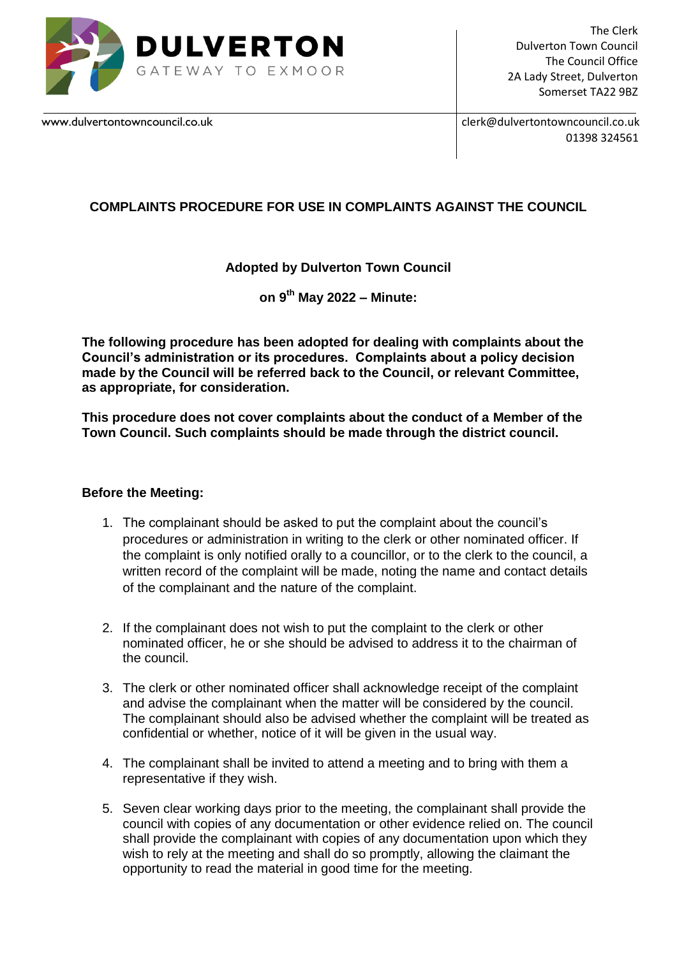

The Clerk Dulverton Town Council The Council Office 2A Lady Street, Dulverton Somerset TA22 9BZ

[www.dulvertontowncouncil.co.uk](http://www.dulvertontowncouncil.co.uk/) clerk@dulvertontowncouncil.co.uk 01398 324561

# **COMPLAINTS PROCEDURE FOR USE IN COMPLAINTS AGAINST THE COUNCIL**

## **Adopted by Dulverton Town Council**

**on 9th May 2022 – Minute:**

**The following procedure has been adopted for dealing with complaints about the Council's administration or its procedures. Complaints about a policy decision made by the Council will be referred back to the Council, or relevant Committee, as appropriate, for consideration.** 

**This procedure does not cover complaints about the conduct of a Member of the Town Council. Such complaints should be made through the district council.**

### **Before the Meeting:**

- 1. The complainant should be asked to put the complaint about the council's procedures or administration in writing to the clerk or other nominated officer. If the complaint is only notified orally to a councillor, or to the clerk to the council, a written record of the complaint will be made, noting the name and contact details of the complainant and the nature of the complaint.
- 2. If the complainant does not wish to put the complaint to the clerk or other nominated officer, he or she should be advised to address it to the chairman of the council.
- 3. The clerk or other nominated officer shall acknowledge receipt of the complaint and advise the complainant when the matter will be considered by the council. The complainant should also be advised whether the complaint will be treated as confidential or whether, notice of it will be given in the usual way.
- 4. The complainant shall be invited to attend a meeting and to bring with them a representative if they wish.
- 5. Seven clear working days prior to the meeting, the complainant shall provide the council with copies of any documentation or other evidence relied on. The council shall provide the complainant with copies of any documentation upon which they wish to rely at the meeting and shall do so promptly, allowing the claimant the opportunity to read the material in good time for the meeting.